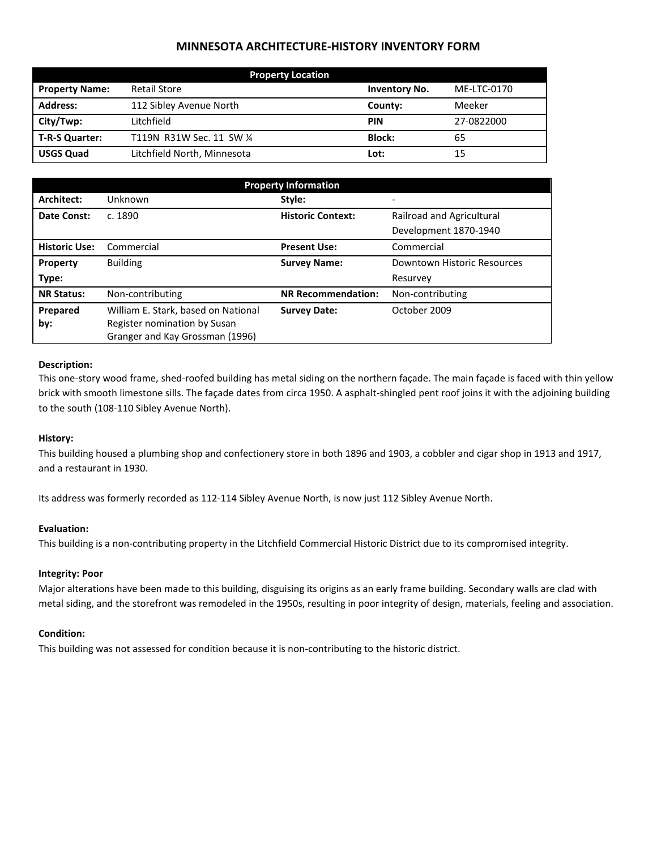# **MINNESOTA ARCHITECTURE-HISTORY INVENTORY FORM**

| <b>Property Location</b> |                             |                      |             |  |
|--------------------------|-----------------------------|----------------------|-------------|--|
| <b>Property Name:</b>    | <b>Retail Store</b>         | <b>Inventory No.</b> | ME-LTC-0170 |  |
| <b>Address:</b>          | 112 Sibley Avenue North     | County:              | Meeker      |  |
| City/Twp:                | Litchfield                  | <b>PIN</b>           | 27-0822000  |  |
| T-R-S Quarter:           | T119N R31W Sec. 11 SW 1/4   | <b>Block:</b>        | 65          |  |
| <b>USGS Quad</b>         | Litchfield North, Minnesota | Lot:                 | 15          |  |

| <b>Property Information</b> |                                                                 |                                                       |                             |  |
|-----------------------------|-----------------------------------------------------------------|-------------------------------------------------------|-----------------------------|--|
| Architect:                  | Unknown                                                         | Style:                                                |                             |  |
| Date Const:                 | c. 1890                                                         | <b>Historic Context:</b><br>Railroad and Agricultural |                             |  |
|                             |                                                                 |                                                       | Development 1870-1940       |  |
| <b>Historic Use:</b>        | Commercial                                                      | <b>Present Use:</b>                                   | Commercial                  |  |
| Property                    | <b>Building</b>                                                 | <b>Survey Name:</b>                                   | Downtown Historic Resources |  |
| Type:                       |                                                                 |                                                       | Resurvey                    |  |
| <b>NR Status:</b>           | Non-contributing                                                | <b>NR Recommendation:</b>                             | Non-contributing            |  |
| Prepared                    | William E. Stark, based on National                             | <b>Survey Date:</b>                                   | October 2009                |  |
| by:                         | Register nomination by Susan<br>Granger and Kay Grossman (1996) |                                                       |                             |  |

### **Description:**

This one-story wood frame, shed-roofed building has metal siding on the northern façade. The main façade is faced with thin yellow brick with smooth limestone sills. The façade dates from circa 1950. A asphalt-shingled pent roof joins it with the adjoining building to the south (108-110 Sibley Avenue North).

## **History:**

This building housed a plumbing shop and confectionery store in both 1896 and 1903, a cobbler and cigar shop in 1913 and 1917, and a restaurant in 1930.

Its address was formerly recorded as 112-114 Sibley Avenue North, is now just 112 Sibley Avenue North.

#### **Evaluation:**

This building is a non-contributing property in the Litchfield Commercial Historic District due to its compromised integrity.

## **Integrity: Poor**

Major alterations have been made to this building, disguising its origins as an early frame building. Secondary walls are clad with metal siding, and the storefront was remodeled in the 1950s, resulting in poor integrity of design, materials, feeling and association.

#### **Condition:**

This building was not assessed for condition because it is non-contributing to the historic district.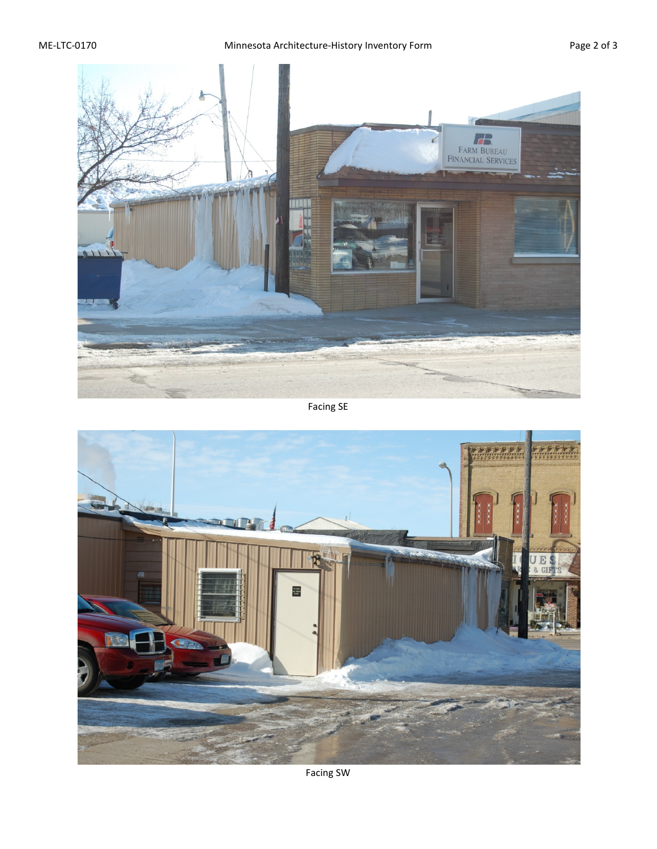

Facing SE



Facing SW